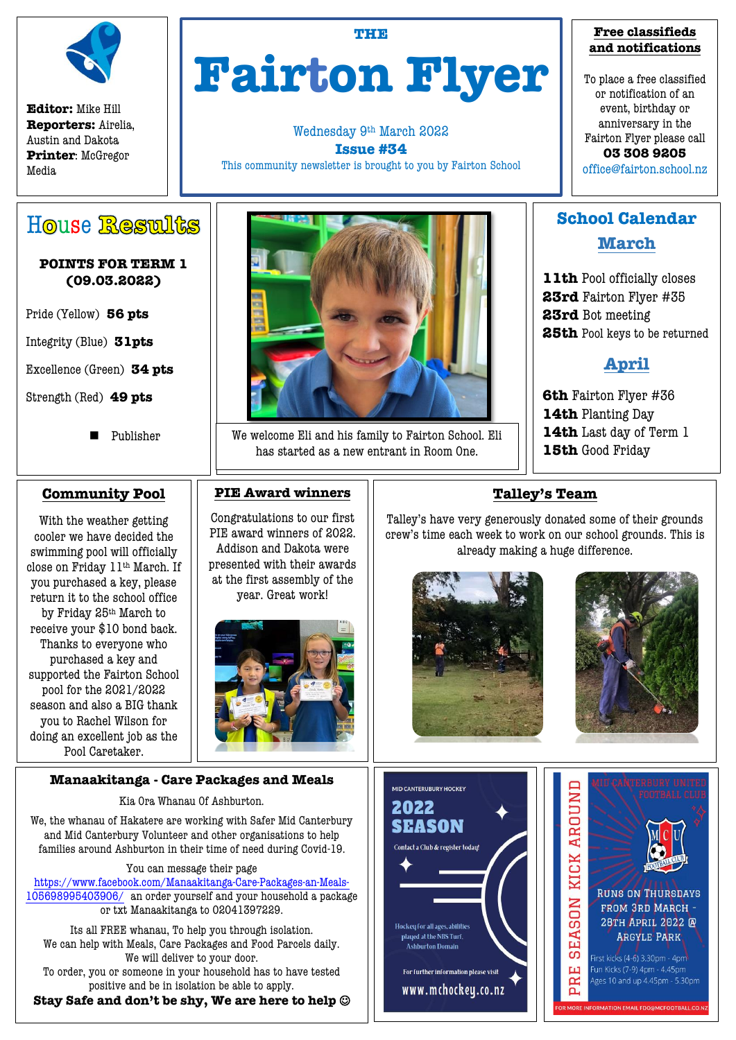

**Editor:** Mike Hill **Reporters:** Airelia, Austin and Dakota **Printer**: McGregor Media

# **THE Fairton Flyer**

Wednesday 9th March 2022 **Issue #34** This community newsletter is brought to you by Fairton School

### **Free classifieds and notifications**

To place a free classified or notification of an event, birthday or anniversary in the Fairton Flyer please call **03 308 9205** office@fairton.school.nz

**School Calendar**

**March**

**11th** Pool officially closes **23rd** Fairton Flyer #35

**25th** Pool keys to be returned

**April**

House Results

### **POINTS FOR TERM 1 (09.03.2022)**

Pride (Yellow) **56 pts**

Integrity (Blue) **31pts**

Excellence (Green) **34 pts**

Strength (Red) **49 pts**

**Publisher** 

### **Community Pool**

With the weather getting cooler we have decided the swimming pool will officially close on Friday 11th March. If you purchased a key, please return it to the school office by Friday 25th March to receive your \$10 bond back. Thanks to everyone who purchased a key and supported the Fairton School pool for the 2021/2022 season and also a BIG thank you to Rachel Wilson for doing an excellent job as the Pool Caretaker.

### **Manaakitanga - Care Packages and Meals**

Kia Ora Whanau Of Ashburton.

We, the whanau of Hakatere are working with Safer Mid Canterbury and Mid Canterbury Volunteer and other organisations to help families around Ashburton in their time of need during Covid-19.

You can message their page

[https://www.facebook.com/Manaakitanga-Care-Packages-an-Meals-](https://www.facebook.com/Manaakitanga-Care-Packages-an-Meals-105698995403906/)[105698995403906/](https://www.facebook.com/Manaakitanga-Care-Packages-an-Meals-105698995403906/) an order yourself and your household a package or txt Manaakitanga to 02041397229.

Its all FREE whanau, To help you through isolation. We can help with Meals, Care Packages and Food Parcels daily. We will deliver to your door.

To order, you or someone in your household has to have tested positive and be in isolation be able to apply.

**Stay Safe and don't be shy, We are here to help**



We welcome Eli and his family to Fairton School. Eli has started as a new entrant in Room One.

### **PIE Award winners**

Congratulations to our first PIE award winners of 2022. Addison and Dakota were presented with their awards at the first assembly of the year. Great work!



# **6th** Fairton Flyer #36

**14th** Planting Day

**23rd** Bot meeting

- **14th** Last day of Term 1
- **15th** Good Friday

## **Talley's Team**

Talley's have very generously donated some of their grounds crew's time each week to work on our school grounds. This is already making a huge difference.